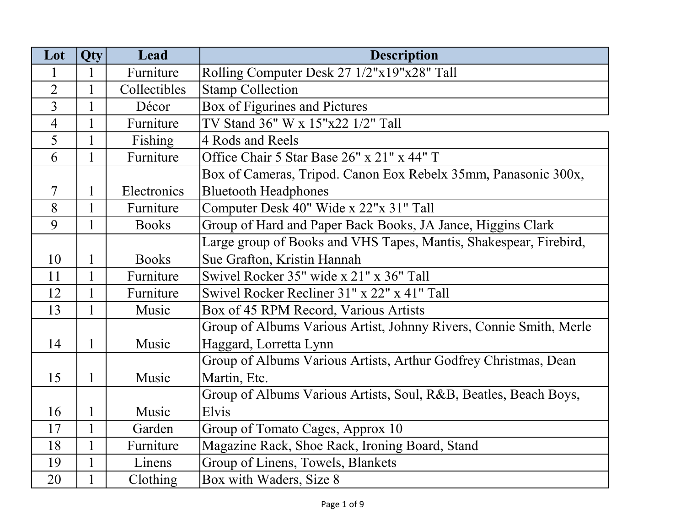| Lot            | Qty          | Lead         | <b>Description</b>                                                 |
|----------------|--------------|--------------|--------------------------------------------------------------------|
| 1              |              | Furniture    | Rolling Computer Desk 27 1/2"x19"x28" Tall                         |
| $\overline{2}$ |              | Collectibles | <b>Stamp Collection</b>                                            |
| $\overline{3}$ |              | Décor        | Box of Figurines and Pictures                                      |
| $\overline{4}$ |              | Furniture    | TV Stand 36" W x 15"x22 1/2" Tall                                  |
| 5              |              | Fishing      | 4 Rods and Reels                                                   |
| 6              | $\mathbf{1}$ | Furniture    | Office Chair 5 Star Base 26" x 21" x 44" T                         |
|                |              |              | Box of Cameras, Tripod. Canon Eox Rebelx 35mm, Panasonic 300x,     |
| 7              | 1            | Electronics  | <b>Bluetooth Headphones</b>                                        |
| 8              | 1            | Furniture    | Computer Desk 40" Wide x 22"x 31" Tall                             |
| 9              |              | <b>Books</b> | Group of Hard and Paper Back Books, JA Jance, Higgins Clark        |
|                |              |              | Large group of Books and VHS Tapes, Mantis, Shakespear, Firebird,  |
| 10             | 1            | <b>Books</b> | Sue Grafton, Kristin Hannah                                        |
| 11             | 1            | Furniture    | Swivel Rocker 35" wide x 21" x 36" Tall                            |
| 12             | 1            | Furniture    | Swivel Rocker Recliner 31" x 22" x 41" Tall                        |
| 13             | 1            | Music        | Box of 45 RPM Record, Various Artists                              |
|                |              |              | Group of Albums Various Artist, Johnny Rivers, Connie Smith, Merle |
| 14             | 1            | Music        | Haggard, Lorretta Lynn                                             |
|                |              |              | Group of Albums Various Artists, Arthur Godfrey Christmas, Dean    |
| 15             | 1            | Music        | Martin, Etc.                                                       |
|                |              |              | Group of Albums Various Artists, Soul, R&B, Beatles, Beach Boys,   |
| 16             |              | Music        | Elvis                                                              |
| 17             | $\mathbf{1}$ | Garden       | Group of Tomato Cages, Approx 10                                   |
| 18             | $\mathbf{1}$ | Furniture    | Magazine Rack, Shoe Rack, Ironing Board, Stand                     |
| 19             | $\mathbf{1}$ | Linens       | Group of Linens, Towels, Blankets                                  |
| 20             |              | Clothing     | Box with Waders, Size 8                                            |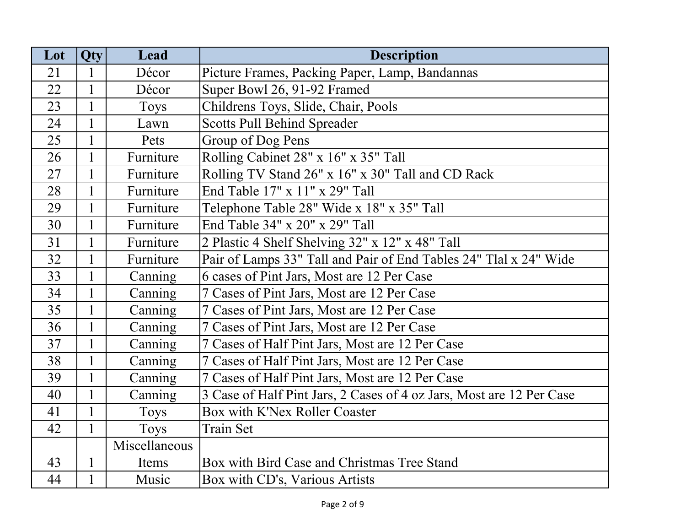| Lot | Qty          | Lead          | <b>Description</b>                                                   |
|-----|--------------|---------------|----------------------------------------------------------------------|
| 21  | 1            | Décor         | Picture Frames, Packing Paper, Lamp, Bandannas                       |
| 22  | $\mathbf{1}$ | Décor         | Super Bowl 26, 91-92 Framed                                          |
| 23  | $\mathbf{1}$ | <b>Toys</b>   | Childrens Toys, Slide, Chair, Pools                                  |
| 24  | 1            | Lawn          | <b>Scotts Pull Behind Spreader</b>                                   |
| 25  | $\mathbf{1}$ | Pets          | Group of Dog Pens                                                    |
| 26  | $\mathbf{1}$ | Furniture     | Rolling Cabinet 28" x 16" x 35" Tall                                 |
| 27  | $\mathbf{1}$ | Furniture     | Rolling TV Stand 26" x 16" x 30" Tall and CD Rack                    |
| 28  | $\mathbf{1}$ | Furniture     | End Table 17" x 11" x 29" Tall                                       |
| 29  | $\mathbf{1}$ | Furniture     | Telephone Table 28" Wide x 18" x 35" Tall                            |
| 30  | $\mathbf{1}$ | Furniture     | End Table 34" x 20" x 29" Tall                                       |
| 31  | $\mathbf{1}$ | Furniture     | 2 Plastic 4 Shelf Shelving 32" x 12" x 48" Tall                      |
| 32  | $\mathbf{1}$ | Furniture     | Pair of Lamps 33" Tall and Pair of End Tables 24" Tlal x 24" Wide    |
| 33  | $\mathbf{1}$ | Canning       | 6 cases of Pint Jars, Most are 12 Per Case                           |
| 34  | $\mathbf{1}$ | Canning       | 7 Cases of Pint Jars, Most are 12 Per Case                           |
| 35  | $\mathbf{1}$ | Canning       | 7 Cases of Pint Jars, Most are 12 Per Case                           |
| 36  | $\mathbf{1}$ | Canning       | 7 Cases of Pint Jars, Most are 12 Per Case                           |
| 37  | $\mathbf{1}$ | Canning       | 7 Cases of Half Pint Jars, Most are 12 Per Case                      |
| 38  | $\mathbf{1}$ | Canning       | 7 Cases of Half Pint Jars, Most are 12 Per Case                      |
| 39  | $\mathbf{1}$ | Canning       | 7 Cases of Half Pint Jars, Most are 12 Per Case                      |
| 40  | $\mathbf{1}$ | Canning       | 3 Case of Half Pint Jars, 2 Cases of 4 oz Jars, Most are 12 Per Case |
| 41  | $\mathbf{1}$ | Toys          | <b>Box with K'Nex Roller Coaster</b>                                 |
| 42  | $\mathbf{1}$ | Toys          | Train Set                                                            |
|     |              | Miscellaneous |                                                                      |
| 43  | 1            | Items         | Box with Bird Case and Christmas Tree Stand                          |
| 44  | 1            | Music         | Box with CD's, Various Artists                                       |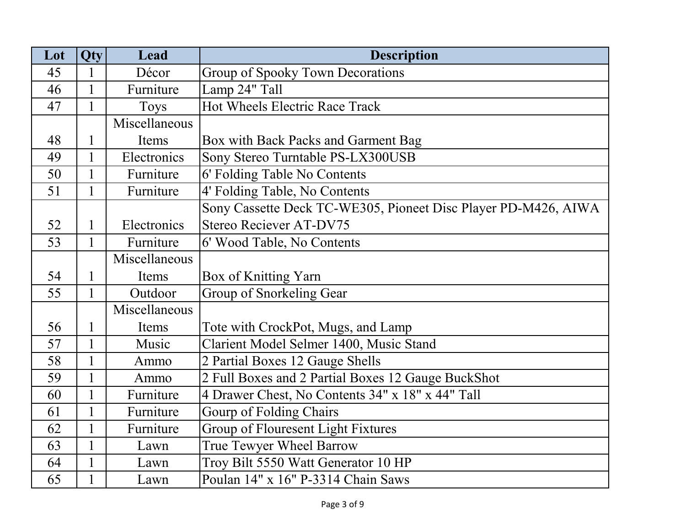| Lot | Qty          | Lead          | <b>Description</b>                                             |
|-----|--------------|---------------|----------------------------------------------------------------|
| 45  |              | Décor         | Group of Spooky Town Decorations                               |
| 46  |              | Furniture     | Lamp 24" Tall                                                  |
| 47  | $\mathbf{1}$ | <b>Toys</b>   | Hot Wheels Electric Race Track                                 |
|     |              | Miscellaneous |                                                                |
| 48  | 1            | Items         | Box with Back Packs and Garment Bag                            |
| 49  | $\mathbf{1}$ | Electronics   | Sony Stereo Turntable PS-LX300USB                              |
| 50  | $\mathbf{1}$ | Furniture     | 6' Folding Table No Contents                                   |
| 51  | $\mathbf{1}$ | Furniture     | 4' Folding Table, No Contents                                  |
|     |              |               | Sony Cassette Deck TC-WE305, Pioneet Disc Player PD-M426, AIWA |
| 52  | $\mathbf{1}$ | Electronics   | Stereo Reciever AT-DV75                                        |
| 53  | $\mathbf{1}$ | Furniture     | 6' Wood Table, No Contents                                     |
|     |              | Miscellaneous |                                                                |
| 54  | $\mathbf{1}$ | Items         | Box of Knitting Yarn                                           |
| 55  | $\mathbf{1}$ | Outdoor       | Group of Snorkeling Gear                                       |
|     |              | Miscellaneous |                                                                |
| 56  | 1            | Items         | Tote with CrockPot, Mugs, and Lamp                             |
| 57  | $\mathbf{1}$ | Music         | Clarient Model Selmer 1400, Music Stand                        |
| 58  |              | Ammo          | 2 Partial Boxes 12 Gauge Shells                                |
| 59  | $\mathbf{1}$ | Ammo          | 2 Full Boxes and 2 Partial Boxes 12 Gauge BuckShot             |
| 60  |              | Furniture     | 4 Drawer Chest, No Contents 34" x 18" x 44" Tall               |
| 61  | $\mathbf{1}$ | Furniture     | Gourp of Folding Chairs                                        |
| 62  | $\mathbf{1}$ | Furniture     | <b>Group of Flouresent Light Fixtures</b>                      |
| 63  | $\mathbf{1}$ | Lawn          | True Tewyer Wheel Barrow                                       |
| 64  | $\mathbf{1}$ | Lawn          | Troy Bilt 5550 Watt Generator 10 HP                            |
| 65  |              | Lawn          | Poulan 14" x 16" P-3314 Chain Saws                             |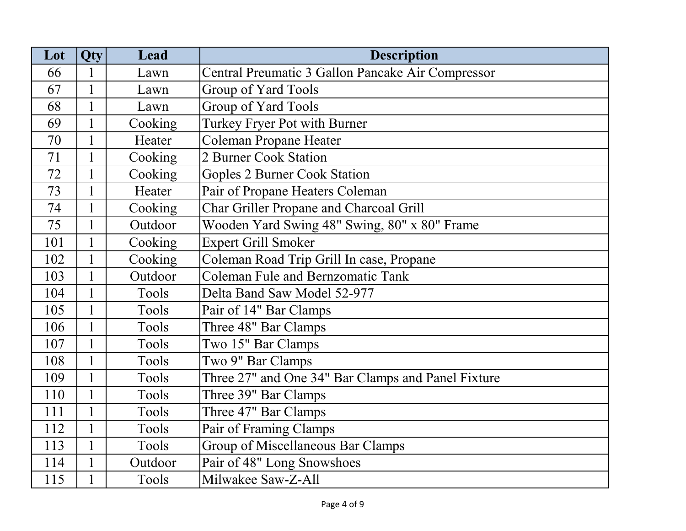| Lot | Qty          | Lead    | <b>Description</b>                                 |
|-----|--------------|---------|----------------------------------------------------|
| 66  |              | Lawn    | Central Preumatic 3 Gallon Pancake Air Compressor  |
| 67  | $\mathbf{1}$ | Lawn    | Group of Yard Tools                                |
| 68  | $\mathbf{1}$ | Lawn    | Group of Yard Tools                                |
| 69  |              | Cooking | Turkey Fryer Pot with Burner                       |
| 70  | $\mathbf{1}$ | Heater  | <b>Coleman Propane Heater</b>                      |
| 71  | $\mathbf{1}$ | Cooking | 2 Burner Cook Station                              |
| 72  | $\mathbf{1}$ | Cooking | <b>Goples 2 Burner Cook Station</b>                |
| 73  | $\mathbf{1}$ | Heater  | Pair of Propane Heaters Coleman                    |
| 74  |              | Cooking | <b>Char Griller Propane and Charcoal Grill</b>     |
| 75  | $\mathbf{1}$ | Outdoor | Wooden Yard Swing 48" Swing, 80" x 80" Frame       |
| 101 | 1            | Cooking | <b>Expert Grill Smoker</b>                         |
| 102 | $\mathbf{1}$ | Cooking | Coleman Road Trip Grill In case, Propane           |
| 103 | $\mathbf{1}$ | Outdoor | <b>Coleman Fule and Bernzomatic Tank</b>           |
| 104 | $\mathbf{1}$ | Tools   | Delta Band Saw Model 52-977                        |
| 105 | $\mathbf{1}$ | Tools   | Pair of 14" Bar Clamps                             |
| 106 | $\mathbf{1}$ | Tools   | Three 48" Bar Clamps                               |
| 107 | $\mathbf{1}$ | Tools   | Two 15" Bar Clamps                                 |
| 108 | $\mathbf{1}$ | Tools   | Two 9" Bar Clamps                                  |
| 109 | $\mathbf{1}$ | Tools   | Three 27" and One 34" Bar Clamps and Panel Fixture |
| 110 | 1            | Tools   | Three 39" Bar Clamps                               |
| 111 | $\mathbf{1}$ | Tools   | Three 47" Bar Clamps                               |
| 112 | $\mathbf{1}$ | Tools   | Pair of Framing Clamps                             |
| 113 | $\mathbf{1}$ | Tools   | Group of Miscellaneous Bar Clamps                  |
| 114 | $\mathbf{1}$ | Outdoor | Pair of 48" Long Snowshoes                         |
| 115 |              | Tools   | Milwakee Saw-Z-All                                 |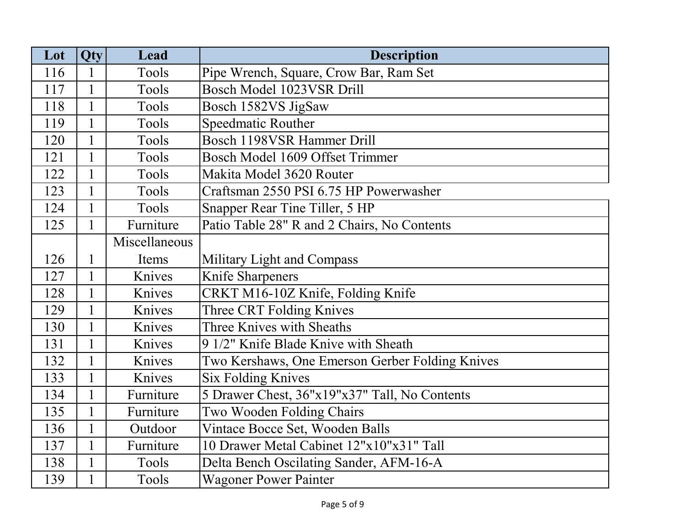| Lot | <b>Qty</b>   | Lead          | <b>Description</b>                              |
|-----|--------------|---------------|-------------------------------------------------|
| 116 | 1            | Tools         | Pipe Wrench, Square, Crow Bar, Ram Set          |
| 117 | $\mathbf{1}$ | Tools         | Bosch Model 1023VSR Drill                       |
| 118 |              | Tools         | Bosch 1582VS JigSaw                             |
| 119 |              | Tools         | Speedmatic Routher                              |
| 120 |              | Tools         | Bosch 1198VSR Hammer Drill                      |
| 121 | $\mathbf{1}$ | Tools         | Bosch Model 1609 Offset Trimmer                 |
| 122 | $\mathbf{1}$ | Tools         | Makita Model 3620 Router                        |
| 123 | $\mathbf{1}$ | Tools         | Craftsman 2550 PSI 6.75 HP Powerwasher          |
| 124 | 1            | Tools         | Snapper Rear Tine Tiller, 5 HP                  |
| 125 | 1            | Furniture     | Patio Table 28" R and 2 Chairs, No Contents     |
|     |              | Miscellaneous |                                                 |
| 126 | 1            | Items         | Military Light and Compass                      |
| 127 | $\mathbf{1}$ | Knives        | Knife Sharpeners                                |
| 128 | $\mathbf{1}$ | Knives        | CRKT M16-10Z Knife, Folding Knife               |
| 129 | $\mathbf{1}$ | Knives        | Three CRT Folding Knives                        |
| 130 | $\mathbf{1}$ | Knives        | Three Knives with Sheaths                       |
| 131 | $\mathbf{1}$ | Knives        | 9 1/2" Knife Blade Knive with Sheath            |
| 132 |              | Knives        | Two Kershaws, One Emerson Gerber Folding Knives |
| 133 |              | Knives        | <b>Six Folding Knives</b>                       |
| 134 |              | Furniture     | 5 Drawer Chest, 36"x19"x37" Tall, No Contents   |
| 135 |              | Furniture     | Two Wooden Folding Chairs                       |
| 136 | $\mathbf{1}$ | Outdoor       | Vintace Bocce Set, Wooden Balls                 |
| 137 | $\mathbf{1}$ | Furniture     | 10 Drawer Metal Cabinet 12"x10"x31" Tall        |
| 138 | $\mathbf{1}$ | Tools         | Delta Bench Oscilating Sander, AFM-16-A         |
| 139 | $\mathbf{1}$ | Tools         | <b>Wagoner Power Painter</b>                    |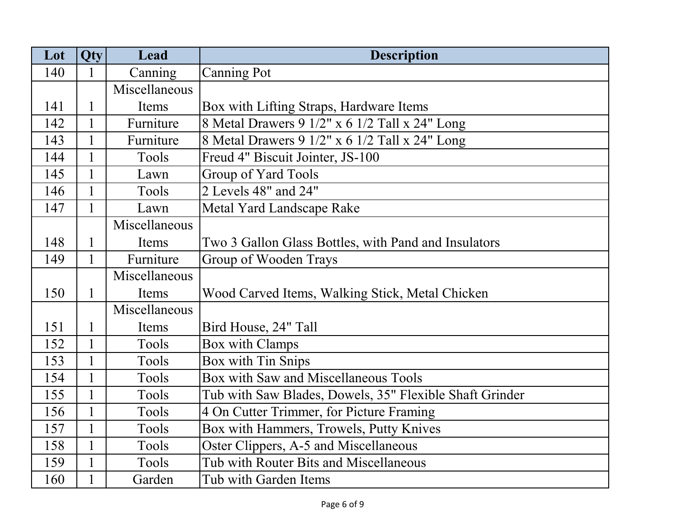| Lot | Qty          | Lead          | <b>Description</b>                                      |
|-----|--------------|---------------|---------------------------------------------------------|
| 140 | 1            | Canning       | <b>Canning Pot</b>                                      |
|     |              | Miscellaneous |                                                         |
| 141 |              | Items         | Box with Lifting Straps, Hardware Items                 |
| 142 | 1            | Furniture     | 8 Metal Drawers 9 1/2" x 6 1/2 Tall x 24" Long          |
| 143 |              | Furniture     | 8 Metal Drawers 9 1/2" x 6 1/2 Tall x 24" Long          |
| 144 | $\mathbf{1}$ | Tools         | Freud 4" Biscuit Jointer, JS-100                        |
| 145 | $\mathbf{1}$ | Lawn          | Group of Yard Tools                                     |
| 146 | $\mathbf{1}$ | Tools         | 2 Levels 48" and 24"                                    |
| 147 |              | Lawn          | Metal Yard Landscape Rake                               |
|     |              | Miscellaneous |                                                         |
| 148 | 1            | Items         | Two 3 Gallon Glass Bottles, with Pand and Insulators    |
| 149 | $\mathbf{1}$ | Furniture     | Group of Wooden Trays                                   |
|     |              | Miscellaneous |                                                         |
| 150 | $\mathbf{1}$ | Items         | Wood Carved Items, Walking Stick, Metal Chicken         |
|     |              | Miscellaneous |                                                         |
| 151 | 1            | Items         | Bird House, 24" Tall                                    |
| 152 | $\mathbf{1}$ | Tools         | Box with Clamps                                         |
| 153 |              | Tools         | Box with Tin Snips                                      |
| 154 | $\mathbf{1}$ | Tools         | Box with Saw and Miscellaneous Tools                    |
| 155 | $\mathbf{1}$ | Tools         | Tub with Saw Blades, Dowels, 35" Flexible Shaft Grinder |
| 156 | $\mathbf{1}$ | Tools         | 4 On Cutter Trimmer, for Picture Framing                |
| 157 | $\mathbf{1}$ | Tools         | Box with Hammers, Trowels, Putty Knives                 |
| 158 | 1            | Tools         | Oster Clippers, A-5 and Miscellaneous                   |
| 159 | $\mathbf{1}$ | Tools         | Tub with Router Bits and Miscellaneous                  |
| 160 | $\mathbf{1}$ | Garden        | Tub with Garden Items                                   |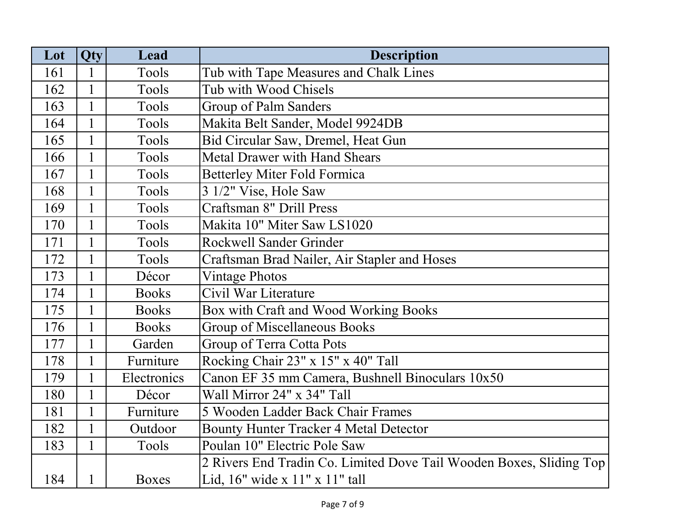| Lot | Qty          | Lead         | <b>Description</b>                                                  |
|-----|--------------|--------------|---------------------------------------------------------------------|
| 161 |              | Tools        | Tub with Tape Measures and Chalk Lines                              |
| 162 |              | Tools        | Tub with Wood Chisels                                               |
| 163 |              | Tools        | Group of Palm Sanders                                               |
| 164 |              | Tools        | Makita Belt Sander, Model 9924DB                                    |
| 165 |              | Tools        | Bid Circular Saw, Dremel, Heat Gun                                  |
| 166 | $\mathbf{1}$ | Tools        | <b>Metal Drawer with Hand Shears</b>                                |
| 167 | $\mathbf{1}$ | Tools        | <b>Betterley Miter Fold Formica</b>                                 |
| 168 | $\mathbf{1}$ | Tools        | 3 1/2" Vise, Hole Saw                                               |
| 169 | $\mathbf{1}$ | Tools        | Craftsman 8" Drill Press                                            |
| 170 | $\mathbf{1}$ | Tools        | Makita 10" Miter Saw LS1020                                         |
| 171 |              | Tools        | <b>Rockwell Sander Grinder</b>                                      |
| 172 |              | Tools        | Craftsman Brad Nailer, Air Stapler and Hoses                        |
| 173 | $\mathbf{1}$ | Décor        | <b>Vintage Photos</b>                                               |
| 174 | $\mathbf{1}$ | <b>Books</b> | Civil War Literature                                                |
| 175 | $\mathbf{1}$ | <b>Books</b> | Box with Craft and Wood Working Books                               |
| 176 |              | <b>Books</b> | Group of Miscellaneous Books                                        |
| 177 |              | Garden       | Group of Terra Cotta Pots                                           |
| 178 |              | Furniture    | Rocking Chair 23" x 15" x 40" Tall                                  |
| 179 |              | Electronics  | Canon EF 35 mm Camera, Bushnell Binoculars 10x50                    |
| 180 | $\mathbf{1}$ | Décor        | Wall Mirror 24" x 34" Tall                                          |
| 181 | $\mathbf{1}$ | Furniture    | 5 Wooden Ladder Back Chair Frames                                   |
| 182 | $\mathbf{1}$ | Outdoor      | <b>Bounty Hunter Tracker 4 Metal Detector</b>                       |
| 183 | $\mathbf{1}$ | Tools        | Poulan 10" Electric Pole Saw                                        |
|     |              |              | 2 Rivers End Tradin Co. Limited Dove Tail Wooden Boxes, Sliding Top |
| 184 |              | <b>Boxes</b> | Lid, $16"$ wide x $11"$ x $11"$ tall                                |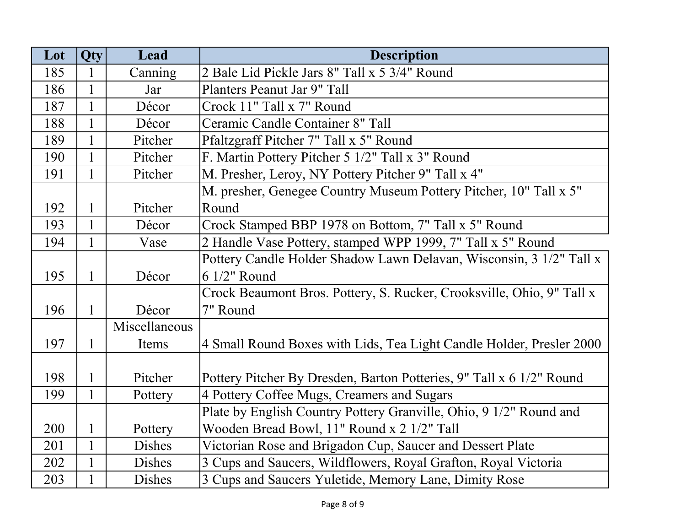| Lot | Qty          | Lead          | <b>Description</b>                                                    |
|-----|--------------|---------------|-----------------------------------------------------------------------|
| 185 | 1            | Canning       | 2 Bale Lid Pickle Jars 8" Tall x 5 3/4" Round                         |
| 186 | $\mathbf{1}$ | Jar           | Planters Peanut Jar 9" Tall                                           |
| 187 | $\mathbf{1}$ | Décor         | Crock 11" Tall x 7" Round                                             |
| 188 | $\mathbf{1}$ | Décor         | Ceramic Candle Container 8" Tall                                      |
| 189 | $\mathbf{1}$ | Pitcher       | Pfaltzgraff Pitcher 7" Tall x 5" Round                                |
| 190 | $\mathbf{1}$ | Pitcher       | F. Martin Pottery Pitcher 5 1/2" Tall x 3" Round                      |
| 191 | $\mathbf{1}$ | Pitcher       | M. Presher, Leroy, NY Pottery Pitcher 9" Tall x 4"                    |
|     |              |               | M. presher, Genegee Country Museum Pottery Pitcher, 10" Tall x 5"     |
| 192 | $\mathbf{1}$ | Pitcher       | Round                                                                 |
| 193 | $\mathbf{1}$ | Décor         | Crock Stamped BBP 1978 on Bottom, 7" Tall x 5" Round                  |
| 194 | $\mathbf{1}$ | Vase          | 2 Handle Vase Pottery, stamped WPP 1999, 7" Tall x 5" Round           |
|     |              |               | Pottery Candle Holder Shadow Lawn Delavan, Wisconsin, 3 1/2" Tall x   |
| 195 | $\mathbf{1}$ | Décor         | 6 1/2" Round                                                          |
|     |              |               | Crock Beaumont Bros. Pottery, S. Rucker, Crooksville, Ohio, 9" Tall x |
| 196 | $\mathbf{1}$ | Décor         | 7" Round                                                              |
|     |              | Miscellaneous |                                                                       |
| 197 | $\mathbf{1}$ | Items         | 4 Small Round Boxes with Lids, Tea Light Candle Holder, Presler 2000  |
|     |              |               |                                                                       |
| 198 | 1            | Pitcher       | Pottery Pitcher By Dresden, Barton Potteries, 9" Tall x 6 1/2" Round  |
| 199 | $\mathbf{1}$ | Pottery       | 4 Pottery Coffee Mugs, Creamers and Sugars                            |
|     |              |               | Plate by English Country Pottery Granville, Ohio, 9 1/2" Round and    |
| 200 | $\mathbf{1}$ | Pottery       | Wooden Bread Bowl, 11" Round x 2 1/2" Tall                            |
| 201 | $\mathbf{1}$ | <b>Dishes</b> | Victorian Rose and Brigadon Cup, Saucer and Dessert Plate             |
| 202 | $\mathbf{1}$ | Dishes        | 3 Cups and Saucers, Wildflowers, Royal Grafton, Royal Victoria        |
| 203 | $\mathbf{1}$ | Dishes        | 3 Cups and Saucers Yuletide, Memory Lane, Dimity Rose                 |